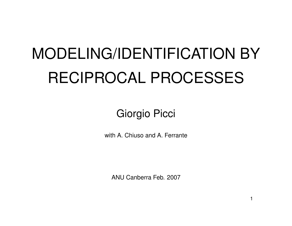# MODELING/IDENTIFICATION BY RECIPROCAL PROCESSES

Giorgio Picci

with A. Chiuso and A. Ferrante

ANU Canberra Feb. 2007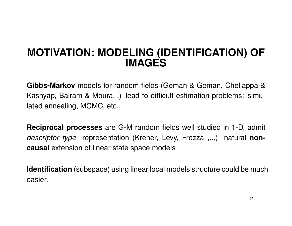#### **MOTIVATION: MODELING (IDENTIFICATION) OF IMAGES**

**Gibbs-Markov** models for random fields (Geman & Geman, Chellappa & Kashyap, Balram & Moura...) lead to difficult estimation problems: simulated annealing, MCMC, etc..

**Reciprocal processes** are G-M random fields well studied in 1-D, admit *descriptor type* representation (Krener, Levy, Frezza ,...) natural **noncausal** extension of linear state space models

**Identification** (subspace) using linear local models structure could be much easier.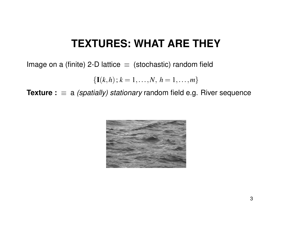#### **TEXTURES: WHAT ARE THEY**

Image on a (finite) 2-D lattice  $\equiv$  (stochastic) random field

 $\{I(k, h); k = 1, \ldots, N, h = 1, \ldots, m\}$ 

**Texture :** ≡ a *(spatially) stationary* random field e.g. River sequence

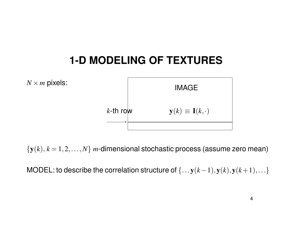### **1-D MODELING OF TEXTURES**

 $N \times m$  pixels:



 ${y(k), k = 1, 2, ..., N}$  *m*-dimensional stochastic process (assume zero mean)

MODEL: to describe the correlation structure of  $\{...y(k-1),y(k),y(k+1),...\}$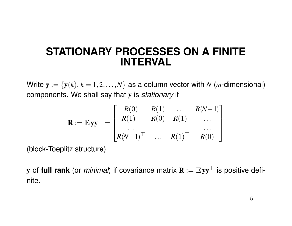#### **STATIONARY PROCESSES ON A FINITE INTERVAL**

Write  $y := \{y(k), k = 1, 2, ..., N\}$  as a column vector with *N* (*m*-dimensional) components. We shall say that y is *stationary* if

$$
\mathbf{R} := \mathbb{E} \mathbf{y} \mathbf{y}^\top = \begin{bmatrix} R(0) & R(1) & \dots & R(N-1) \\ R(1)^\top & R(0) & R(1) & \dots \\ \dots & \dots & \dots \\ R(N-1)^\top & \dots & R(1)^\top & R(0) \end{bmatrix}
$$

(block-Toeplitz structure).

y of full rank (or *minimal*) if covariance matrix  $\mathbf{R} := \mathbb{E} \mathbf{y} \mathbf{y}^\top$  is positive definite.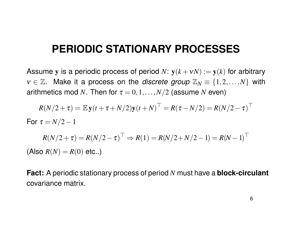### **PERIODIC STATIONARY PROCESSES**

Assume y is a periodic process of period *N*:  $y(k + vN) := y(k)$  for arbitrary  $v \in \mathbb{Z}$ . Make it a process on the *discrete group*  $\mathbb{Z}_N \equiv \{1,2,\ldots,N\}$  with arithmetics mod *N*. Then for  $\tau = 0, 1, \ldots, N/2$  (assume *N* even)

$$
R(N/2 + \tau) = \mathbb{E} \mathbf{y}(t + \tau + N/2) \mathbf{y}(t + N)^{\top} = R(\tau - N/2) = R(N/2 - \tau)^{\top}
$$
  
For  $\tau = N/2 - 1$ 

$$
R(N/2 + \tau) = R(N/2 - \tau)^{\top} \Rightarrow R(1) = R(N/2 + N/2 - 1) = R(N - 1)^{\top}
$$
  
(Also  $R(N) = R(0)$  etc..)

**Fact:** A periodic stationary process of period *N* must have a **block-circulant** covariance matrix.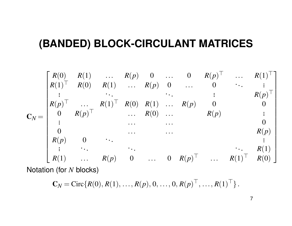#### **(BANDED) BLOCK-CIRCULANT MATRICES**

$$
\mathbf{C}_{N} = \begin{bmatrix} R(0) & R(1) & \dots & R(p) & 0 & \dots & 0 & R(p)^{\top} & \dots & R(1)^{\top} \\ R(1)^{\top} & R(0) & R(1) & \dots & R(p) & 0 & \dots & 0 & \vdots \\ \vdots & & & & & & \vdots & \ddots & \vdots & \vdots & \vdots \\ R(p)^{\top} & \dots & R(1)^{\top} & R(0) & R(1) & \dots & R(p) & 0 & 0 \\ 0 & R(p)^{\top} & \dots & R(0) & \dots & R(p) & \vdots & \vdots \\ \vdots & & & & & \vdots & \vdots & \vdots & \vdots & \vdots \\ R(p) & 0 & \dots & & & & \vdots & \vdots \\ \vdots & & & & & & \vdots & \vdots & \vdots \\ R(1) & \dots & R(p) & 0 & \dots & 0 & R(p)^{\top} & \dots & R(1)^{\top} & R(0) \end{bmatrix}
$$

Notation (for *N* blocks)

 $\mathbf{C}_N = \text{Circ}\{R(0), R(1), \ldots, R(p), 0, \ldots, 0, R(p)^{\top}, \ldots, R(1)^{\top}\}.$ 

7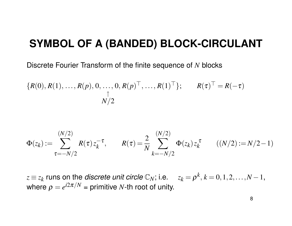#### **SYMBOL OF A (BANDED) BLOCK-CIRCULANT**

Discrete Fourier Transform of the finite sequence of *N* blocks

$$
\{R(0), R(1), \ldots, R(p), 0, \ldots, 0, R(p)^{\top}, \ldots, R(1)^{\top}\}; \qquad R(\tau)^{\top} = R(-\tau)
$$
  

$$
N/2
$$

$$
\Phi(z_k) := \sum_{\tau = -N/2}^{(N/2)} R(\tau) z_k^{-\tau}, \qquad R(\tau) = \frac{2}{N} \sum_{k=-N/2}^{(N/2)} \Phi(z_k) z_k^{\tau} \qquad ((N/2) := N/2 - 1)
$$

 $z \equiv z_k$  runs on the *discrete unit circle*  $\mathbb{C}_N$ ; i.e.  $z_k = \rho^k, k = 0, 1, 2, \ldots, N - 1,$ where  $\rho = e^{i2\pi/N}$  = primitive *N*-th root of unity.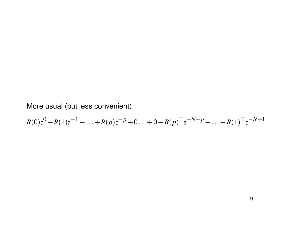More usual (but less convenient):

 $R(0)z^{0} + R(1)z^{-1} + ... + R(p)z^{-p} + 0... + 0 + R(p)^{\top}z^{-N+p} + ... + R(1)^{\top}z^{-N+1}$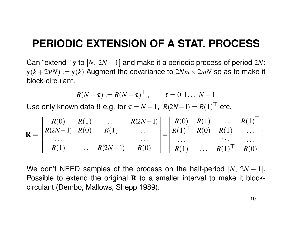#### **PERIODIC EXTENSION OF A STAT. PROCESS**

Can "extend " y to [*N*, 2*N* −1] and make it a periodic process of period 2*N*:  $y(k+2vN) := y(k)$  Augment the covariance to  $2Nm \times 2mN$  so as to make it block-circulant.

$$
R(N+\tau):=R(N-\tau)^\top\,,\qquad \tau=0,1,\ldots N-1
$$

Use only known data !! e.g. for  $\tau = N - 1$ ,  $R(2N-1) = R(1)^\top$  etc.

$$
\mathbf{R} = \begin{bmatrix} R(0) & R(1) & \dots & R(2N-1) \\ R(2N-1) & R(0) & R(1) & \dots & R(1) \\ \dots & \dots & \dots & \dots & \dots \\ R(1) & \dots & R(2N-1) & R(0) \end{bmatrix} = \begin{bmatrix} R(0) & R(1) & \dots & R(1) \\ R(1) & R(0) & R(1) & \dots & \dots \\ \dots & \dots & \dots & \dots & \dots \\ R(1) & \dots & R(1) & R(0) \end{bmatrix}
$$

We don't NEED samples of the process on the half-period [*N*, 2*N* − 1]. Possible to extend the original  **to a smaller interval to make it block**circulant (Dembo, Mallows, Shepp 1989).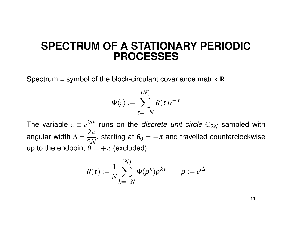#### **SPECTRUM OF A STATIONARY PERIODIC PROCESSES**

Spectrum = symbol of the block-circulant covariance matrix  $$ 

$$
\Phi(z) := \sum_{\tau=-N}^{(N)} R(\tau) z^{-\tau}
$$

The variable  $z \equiv e^{i\Delta k}$  runs on the *discrete unit circle*  $\mathbb{C}_{2N}$  sampled with angular width  $\Delta$   $=$  $2\pi$ 2*N* , starting at  $\theta_0 = -\pi$  and travelled counterclockwise up to the endpoint  $\theta = +\pi$  (excluded).

$$
R(\tau) := \frac{1}{N} \sum_{k=-N}^{(N)} \Phi(\rho^k) \rho^{k\tau} \qquad \rho := e^{i\Delta}
$$

11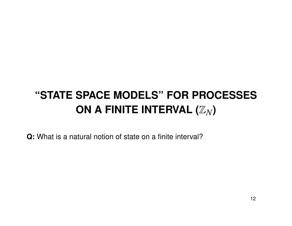### **"STATE SPACE MODELS" FOR PROCESSES** ON A FINITE INTERVAL  $(\mathbb{Z}_N)$

**Q:** What is a natural notion of state on a finite interval?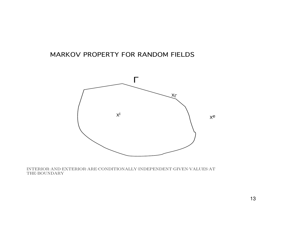#### MARKOV PROPERTY FOR RANDOM FIELDS



INTERIOR AND EXTERIOR ARE CONDITIONALLY INDEPENDENT GIVEN VALUES AT THE BOUNDARY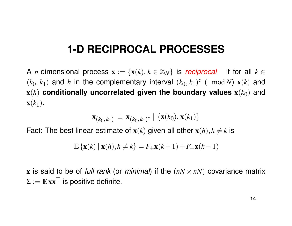### **1-D RECIPROCAL PROCESSES**

A *n*-dimensional process  $\mathbf{x} := \{ \mathbf{x}(k), k \in \mathbb{Z}_N \}$  is *reciprocal* if for all  $k \in \mathbb{Z}_N$  $(k_0, k_1)$  and *h* in the complementary interval  $(k_0, k_1)^c$  (mod *N*)  $\mathbf{x}(k)$  and  $\mathbf{x}(h)$  **conditionally uncorrelated given the boundary values**  $\mathbf{x}(k_0)$  and  ${\bf x}(k_1)$ .

$$
\mathbf{x}_{(k_0,k_1)} \perp \mathbf{x}_{(k_0,k_1)^c} \mid \{\mathbf{x}(k_0),\mathbf{x}(k_1)\}\
$$

Fact: The best linear estimate of  $\mathbf{x}(k)$  given all other  $\mathbf{x}(h)$ ,  $h \neq k$  is

$$
\mathbb{E}\left\{\mathbf{x}(k) \mid \mathbf{x}(h), h \neq k\right\} = F_{+}\mathbf{x}(k+1) + F_{-}\mathbf{x}(k-1)
$$

x is said to be of *full rank* (or *minimal*) if the  $(nN \times nN)$  covariance matrix  $\Sigma := \mathbb{E} \mathbf{x} \mathbf{x}^{\top}$  is positive definite.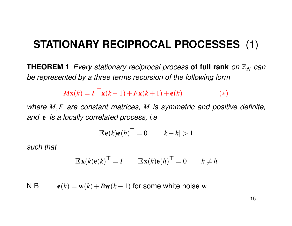#### **STATIONARY RECIPROCAL PROCESSES** (1)

**THEOREM 1** *Every stationary reciprocal process* of full rank *on*  $\mathbb{Z}_N$  *can be represented by a three terms recursion of the following form*

 $Mx(k) = F^{\top}x(k-1) + Fx(k+1) + e(k)$  (\*)

*where M*,*F are constant matrices, M is symmetric and positive definite, and* e *is a locally correlated process, i.e*

$$
\mathbb{E}\mathbf{e}(k)\mathbf{e}(h)^{\top} = 0 \qquad |k - h| > 1
$$

*such that*

$$
\mathbb{E} \mathbf{x}(k) \mathbf{e}(k)^{\top} = I \qquad \mathbb{E} \mathbf{x}(k) \mathbf{e}(h)^{\top} = 0 \qquad k \neq h
$$

N.B.  $e(k) = w(k) + Bw(k-1)$  for some white noise w.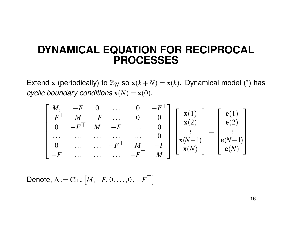#### **DYNAMICAL EQUATION FOR RECIPROCAL PROCESSES**

Extend x (periodically) to  $\mathbb{Z}_N$  so  $\mathbf{x}(k+N) = \mathbf{x}(k)$ . Dynamical model (\*) has *cyclic boundary conditions*  $\mathbf{x}(N) = \mathbf{x}(0)$ .

$$
\begin{bmatrix}\nM, & -F & 0 & \dots & 0 & -F^{\top} \\
-F^{\top} & M & -F & \dots & 0 & 0 \\
0 & -F^{\top} & M & -F & \dots & 0 \\
\vdots & \vdots & \ddots & \vdots & \ddots & \vdots \\
0 & \dots & \dots & -F^{\top} & M & -F \\
-F & \dots & \dots & -F^{\top} & M & -F \\
-F & \dots & \dots & \dots & -F^{\top} & M\n\end{bmatrix}\n\begin{bmatrix}\n\mathbf{x}(1) \\
\mathbf{x}(2) \\
\vdots \\
\mathbf{x}(N-1) \\
\mathbf{x}(N)\n\end{bmatrix} =\n\begin{bmatrix}\n\mathbf{e}(1) \\
\mathbf{e}(2) \\
\vdots \\
\mathbf{e}(N-1) \\
\mathbf{e}(N)\n\end{bmatrix}
$$

Denote,  $\Lambda :=$  Circ  $\left[ M, -F, 0, \ldots, 0, -F^{\top} \right]$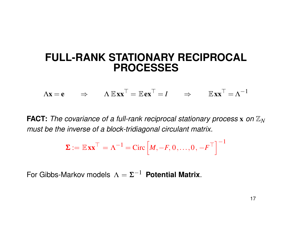#### **FULL-RANK STATIONARY RECIPROCAL PROCESSES**

$$
\Lambda \mathbf{x} = \mathbf{e} \qquad \Rightarrow \qquad \Lambda \mathbb{E} \mathbf{x} \mathbf{x}^{\top} = \mathbb{E} \mathbf{e} \mathbf{x}^{\top} = I \qquad \Rightarrow \qquad \mathbb{E} \mathbf{x} \mathbf{x}^{\top} = \Lambda^{-1}
$$

**FACT:** The covariance of a full-rank reciprocal stationary process x on  $\mathbb{Z}_N$ *must be the inverse of a block-tridiagonal circulant matrix.*

$$
\Sigma := \mathbb{E} \mathbf{x} \mathbf{x}^{\top} = \Lambda^{-1} = \text{Circ} \left[ M, -F, 0, \dots, 0, -F^{\top} \right]^{-1}
$$

For Gibbs-Markov models  $\Lambda = \Sigma^{-1}$  **Potential Matrix**.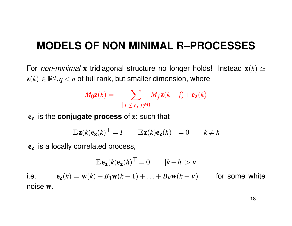#### **MODELS OF NON MINIMAL R–PROCESSES**

For *non-minimal* x tridiagonal structure no longer holds! Instead  $\mathbf{x}(k) \simeq$  $\mathbf{z}(k) \in \mathbb{R}^q, q < n$  of full rank, but smaller dimension, where

$$
M_0 \mathbf{z}(k) = -\sum_{|j| \le \mathbf{v}, \ j \neq 0} M_j \mathbf{z}(k - j) + \mathbf{e}_{\mathbf{z}}(k)
$$

ez is the **conjugate process** of z: such that

$$
\mathbb{E}\mathbf{z}(k)\mathbf{e}_{\mathbf{z}}(k)^{\top} = I \qquad \mathbb{E}\mathbf{z}(k)\mathbf{e}_{\mathbf{z}}(h)^{\top} = 0 \qquad k \neq h
$$

 $e_z$  is a locally correlated process,

$$
\mathbb{E} \mathbf{e}_{\mathbf{z}}(k) \mathbf{e}_{\mathbf{z}}(h)^\top = 0 \qquad |k - h| > v
$$
  
i.e. 
$$
\mathbf{e}_{\mathbf{z}}(k) = \mathbf{w}(k) + B_1 \mathbf{w}(k - 1) + \dots + B_V \mathbf{w}(k - v) \qquad \text{for some white}
$$
  
noise w.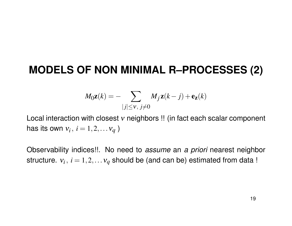### **MODELS OF NON MINIMAL R–PROCESSES (2)**

$$
M_0 \mathbf{z}(k) = -\sum_{|j| \le V, j \neq 0} M_j \mathbf{z}(k - j) + \mathbf{e}_{\mathbf{z}}(k)
$$

Local interaction with closest ν neighbors !! (in fact each scalar component has its own  $v_i$ ,  $i = 1, 2, \ldots v_q$  )

Observability indices!!. No need to *assume* an *a priori* nearest neighbor structure.  $v_i, \, i=1,2,\ldots v_q$  should be (and can be) estimated from data !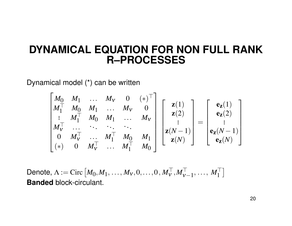#### **DYNAMICAL EQUATION FOR NON FULL RANK R–PROCESSES**

Dynamical model (\*) can be written

$$
\begin{bmatrix}\nM_0 & M_1 & \dots & M_V & 0 & (*)^\top \\
M_1^\top & M_0 & M_1 & \dots & M_V & 0 \\
\vdots & M_1^\top & M_0 & M_1 & \dots & M_V \\
M_V^\top & \dots & \dots & \dots & \dots \\
0 & M_V^\top & \dots & M_1^\top & M_0 & M_1 \\
(*) & 0 & M_V^\top & \dots & M_1^\top & M_0\n\end{bmatrix}\n\begin{bmatrix}\nz(1) \\
z(2) \\
\vdots \\
z(N-1) \\
z(N)\n\end{bmatrix} =\n\begin{bmatrix}\ne_{\mathbf{Z}}(1) \\
e_{\mathbf{Z}}(2) \\
\vdots \\
e_{\mathbf{Z}}(N-1) \\
e_{\mathbf{Z}}(N)\n\end{bmatrix}
$$

Denote,  $\Lambda := \mathrm{Circ}\left[M_0, M_1, \ldots, M_V, 0, \ldots, 0, M_V^\top, M_{V^\perp}^\top\right]$ ν−1  $, \ldots, M_1^{\top}$  $\overline{\phantom{a}}$ **Banded** block-circulant.

20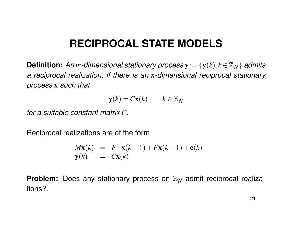#### **RECIPROCAL STATE MODELS**

**Definition:** *An m-dimensional stationary process*  $\mathbf{y} := \{ \mathbf{y}(k), k \in \mathbb{Z}_N \}$  *admits a reciprocal realization, if there is an n-dimensional reciprocal stationary process* x *such that*

$$
\mathbf{y}(k) = C\mathbf{x}(k) \qquad k \in \mathbb{Z}_N
$$

*for a suitable constant matrix C.*

Reciprocal realizations are of the form

$$
\begin{array}{rcl}\nM\mathbf{x}(k) & = & F^{\top}\mathbf{x}(k-1) + F\mathbf{x}(k+1) + \mathbf{e}(k) \\
\mathbf{y}(k) & = & C\mathbf{x}(k)\n\end{array}
$$

**Problem:** Does any stationary process on  $\mathbb{Z}_N$  admit reciprocal realizations?.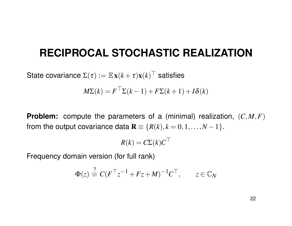#### **RECIPROCAL STOCHASTIC REALIZATION**

State covariance  $\Sigma(\tau):=\mathbb{E}\, \mathbf{x}(k\!tau)\mathbf{x}(k)^\top$  satisfies

$$
M\Sigma(k) = F^{\top} \Sigma(k-1) + F\Sigma(k+1) + I\delta(k)
$$

**Problem:** compute the parameters of a (minimal) realization, (*C*,*M*,*F*) from the output covariance data  $\mathbf{R} \equiv \{R(k), k = 0, 1, \ldots, N-1\}.$ 

$$
R(k) = C\Sigma(k)C^\top
$$

Frequency domain version (for full rank)

$$
\Phi(z) \stackrel{?}{\equiv} C(F^\top z^{-1} + Fz + M)^{-1}C^\top, \qquad z \in \mathbb{C}_N
$$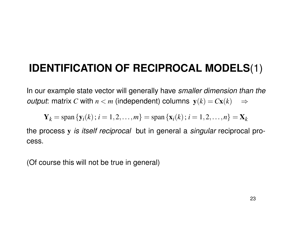### **IDENTIFICATION OF RECIPROCAL MODELS**(1)

In our example state vector will generally have *smaller dimension than the output*: matrix *C* with  $n < m$  (independent) columns  $y(k) = Cx(k) \Rightarrow$ 

$$
\mathbf{Y}_k = \text{span}\{\mathbf{y}_i(k); i = 1, 2, ..., m\} = \text{span}\{\mathbf{x}_i(k); i = 1, 2, ..., n\} = \mathbf{X}_k
$$

the process y *is itself reciprocal* but in general a *singular* reciprocal process.

(Of course this will not be true in general)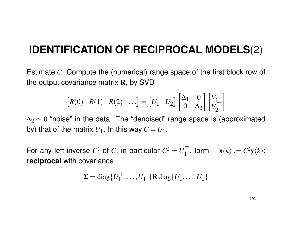### **IDENTIFICATION OF RECIPROCAL MODELS**(2)

Estimate *C*: Compute the (numerical) range space of the first block row of the output covariance matrix **, by SVD** 

$$
\begin{bmatrix} R(0) & R(1) & R(2) & \dots \end{bmatrix} = \begin{bmatrix} U_1 & U_2 \end{bmatrix} \begin{bmatrix} \Delta_1 & 0 \\ 0 & \Delta_2 \end{bmatrix} \begin{bmatrix} V_1^\top \\ V_2^\top \end{bmatrix}
$$

 $\Delta_2 \simeq 0$  "noise" in the data. The "denoised" range space is (approximated by) that of the matrix  $U_1.$  In this way  $C\!=\!U_1.$ 

For any left inverse  $C^{\sharp}$  of  $C$ , in particular  $C^{\sharp} = U_1^{\top}$  $\mathbf{x}_1^{\top}$ , form  $\mathbf{x}(k) := C^{\sharp} \mathbf{y}(k)$ : **reciprocal** with covariance

$$
\Sigma = diag\{U_1^\top, \ldots, U_1^\top\} \mathbf{R} diag\{U_1, \ldots, U_1\}
$$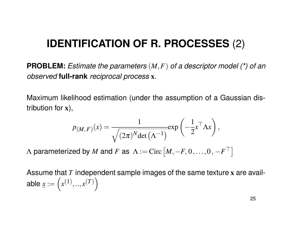### **IDENTIFICATION OF R. PROCESSES** (2)

**PROBLEM:** *Estimate the parameters* (*M*,*F*) *of a descriptor model (\*) of an observed* **full-rank** *reciprocal process* x*.*

Maximum likelihood estimation (under the assumption of a Gaussian distribution for x),

$$
p_{(M,F)}(x) = \frac{1}{\sqrt{(2\pi)^N \det(\Lambda^{-1})}} \exp\left(-\frac{1}{2}x^\top \Lambda x\right),
$$

 $\Lambda$  parameterized by  $M$  and  $F$  as  $\Lambda := \mathrm{Circ}\left[M, -F, 0, \ldots, 0, -F^{\top}\right]$ 

Assume that *T* independent sample images of the same texture x are available  $\underline{x} :=$  $(x^{(1)},...,x^{(T)})$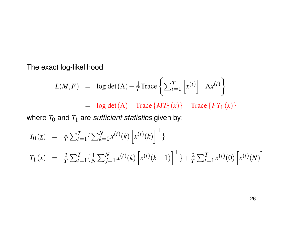The exact log-likelihood

$$
L(M, F) = \log \det(\Lambda) - \frac{1}{T} \text{Trace} \left\{ \sum_{t=1}^{T} \left[ x^{(t)} \right]^\top \Lambda x^{(t)} \right\}
$$

 $= \log \det(A) - \text{Trace}\{MT_0(\underline{x})\} - \text{Trace}\{FT_1(\underline{x})\}$ 

where  $T_0$  and  $T_1$  are *sufficient statistics* given by:

$$
T_0(\underline{x}) = \frac{1}{T} \sum_{t=1}^T \{ \sum_{k=0}^N x^{(t)}(k) \left[ x^{(t)}(k) \right]^{\top} \}
$$
  
\n
$$
T_1(\underline{x}) = \frac{2}{T} \sum_{t=1}^T \{ \frac{1}{N} \sum_{j=1}^N x^{(t)}(k) \left[ x^{(t)}(k-1) \right]^{\top} \} + \frac{2}{T} \sum_{t=1}^T x^{(t)}(0) \left[ x^{(t)}(N) \right]^{\top}
$$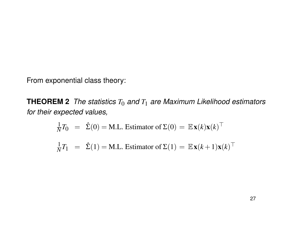From exponential class theory:

**THEOREM 2** *The statistics*  $T_0$  *and*  $T_1$  *are Maximum Likelihood estimators for their expected values,*

$$
\frac{1}{N}T_0
$$
 =  $\hat{\Sigma}(0) = \text{M.L. Estimator of } \Sigma(0) = \mathbb{E} \mathbf{x}(k) \mathbf{x}(k)^\top$ 

$$
\frac{1}{N}T_1 = \hat{\Sigma}(1) = \text{M.L. Estimator of } \Sigma(1) = \mathbb{E} \mathbf{x}(k+1)\mathbf{x}(k)^{\top}
$$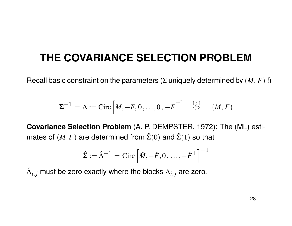### **THE COVARIANCE SELECTION PROBLEM**

Recall basic constraint on the parameters ( $\Sigma$  uniquely determined by  $(M, F)$ !)

$$
\Sigma^{-1} = \Lambda := \text{Circ}\left[M, -F, 0, \dots, 0, -F^{\top}\right] \quad \stackrel{1:1}{\Leftrightarrow} \quad (M, F)
$$

**Covariance Selection Problem** (A. P. DEMPSTER, 1972): The (ML) estimates of  $(M, F)$  are determined from  $\hat{\Sigma}(0)$  and  $\hat{\Sigma}(1)$  so that

$$
\hat{\mathbf{\Sigma}}:=\hat{\Lambda}^{-1}=\mathrm{Circ}\left[\hat{M},-\hat{F},0,\ldots,-\hat{F}^{\top}\right]^{-1}
$$

 $\hat{\Lambda}_{i,j}$  must be zero exactly where the blocks  $\Lambda_{i,j}$  are zero.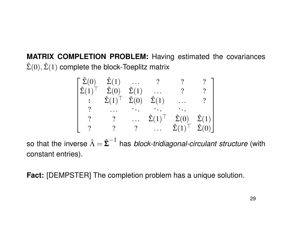**MATRIX COMPLETION PROBLEM:** Having estimated the covariances  $\hat{\Sigma}(0), \hat{\Sigma}(1)$  complete the block-Toeplitz matrix

$$
\begin{bmatrix}\n\hat{\Sigma}(0) & \hat{\Sigma}(1) & \dots & ? & ? & ? \\
\hat{\Sigma}(1)^{\top} & \hat{\Sigma}(0) & \hat{\Sigma}(1) & \dots & ? & ? \\
\vdots & \hat{\Sigma}(1)^{\top} & \hat{\Sigma}(0) & \hat{\Sigma}(1) & \dots & ? \\
? & \dots & \dots & \dots & \dots \\
? & ? & \dots & \hat{\Sigma}(1)^{\top} & \hat{\Sigma}(0) & \hat{\Sigma}(1) \\
? & ? & ? & \dots & \hat{\Sigma}(1)^{\top} & \hat{\Sigma}(0)\n\end{bmatrix}
$$

so that the inverse  $\hat{\Lambda}=\hat{\boldsymbol{\Sigma}}^{-1}$ has *block-tridiagonal-circulant structure* (with constant entries).

**Fact:** [DEMPSTER] The completion problem has a unique solution.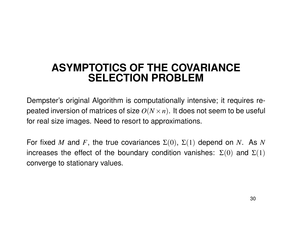#### **ASYMPTOTICS OF THE COVARIANCE SELECTION PROBLEM**

Dempster's original Algorithm is computationally intensive; it requires repeated inversion of matrices of size  $O(N \times n)$ . It does not seem to be useful for real size images. Need to resort to approximations.

For fixed *M* and *F*, the true covariances  $\Sigma(0)$ ,  $\Sigma(1)$  depend on *N*. As *N* increases the effect of the boundary condition vanishes:  $\Sigma(0)$  and  $\Sigma(1)$ converge to stationary values.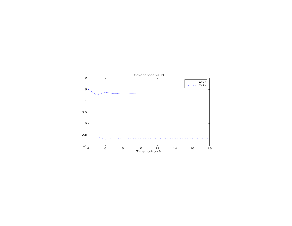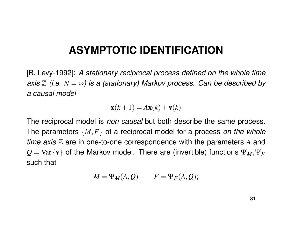#### **ASYMPTOTIC IDENTIFICATION**

[B. Levy-1992]: *A stationary reciprocal process defined on the whole time axis* Z *(i.e. N* = ∞*) is a (stationary) Markov process. Can be described by a causal model*

$$
\mathbf{x}(k+1) = A\mathbf{x}(k) + \mathbf{v}(k)
$$

The reciprocal model is *non causal* but both describe the same process. The parameters {*M*,*F*} of a reciprocal model for a process *on the whole time axis* Z are in one-to-one correspondence with the parameters *A* and  $Q = \text{Var}\{\mathbf{v}\}\$  of the Markov model. There are (invertible) functions  $\Psi_M, \Psi_F$ such that

$$
M = \Psi_M(A, Q) \qquad F = \Psi_F(A, Q);
$$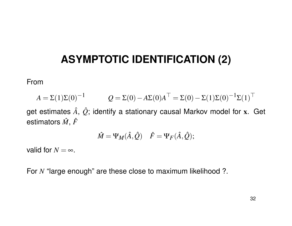### **ASYMPTOTIC IDENTIFICATION (2)**

From

$$
A = \Sigma(1)\Sigma(0)^{-1} \qquad \qquad Q = \Sigma(0) - A\Sigma(0)A^{\top} = \Sigma(0) - \Sigma(1)\Sigma(0)^{-1}\Sigma(1)^{\top}
$$

get estimates  $\hat{A}$ ,  $\hat{Q}$ ; identify a stationary causal Markov model for x. Get estimators *M*ˆ , *F*ˆ

$$
\hat{M} = \Psi_M(\hat{A}, \hat{Q}) \quad \hat{F} = \Psi_F(\hat{A}, \hat{Q});
$$

valid for  $N = \infty$ .

For *N* "large enough" are these close to maximum likelihood ?.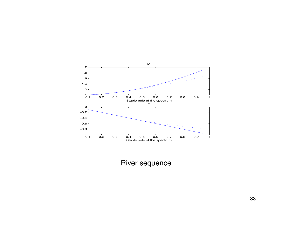

River sequence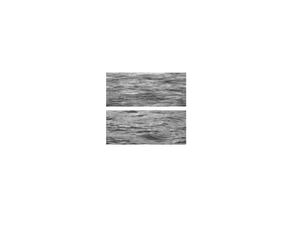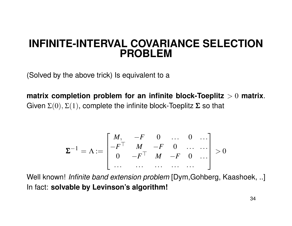#### **INFINITE-INTERVAL COVARIANCE SELECTION PROBLEM**

(Solved by the above trick) Is equivalent to a

**matrix completion problem for an infinite block-Toeplitz** > 0 **matrix**. Given  $\Sigma(0), \Sigma(1)$ , complete the infinite block-Toeplitz  $\Sigma$  so that

$$
\Sigma^{-1} = \Lambda := \begin{bmatrix} M, & -F & 0 & \dots & 0 & \dots \\ -F^{\top} & M & -F & 0 & \dots & \dots \\ 0 & -F^{\top} & M & -F & 0 & \dots \\ \dots & \dots & \dots & \dots & \dots & \dots \end{bmatrix} > 0
$$

Well known! *Infinite band extension problem* [Dym,Gohberg, Kaashoek, ..] In fact: **solvable by Levinson's algorithm!**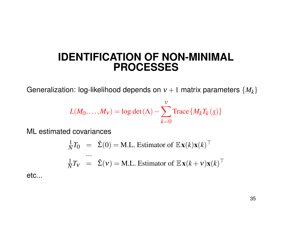#### **IDENTIFICATION OF NON-MINIMAL PROCESSES**

Generalization: log-likelihood depends on  $v + 1$  matrix parameters  $\{M_k\}$ 

$$
L(M_0, ..., M_V) = \log \det(\Lambda) - \sum_{k=0}^{V} \text{Trace} \{ M_k T_k(\underline{x}) \}
$$

ML estimated covariances

$$
\frac{1}{N}T_0 = \hat{\Sigma}(0) = \text{M.L. Estimator of } \mathbb{E} \mathbf{x}(k) \mathbf{x}(k)^\top
$$
  
...  

$$
\frac{1}{N}T_V = \hat{\Sigma}(v) = \text{M.L. Estimator of } \mathbb{E} \mathbf{x}(k+v) \mathbf{x}(k)^\top
$$

etc...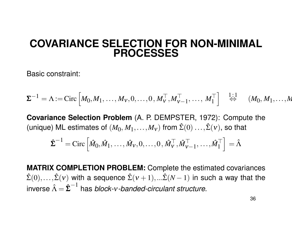#### **COVARIANCE SELECTION FOR NON-MINIMAL PROCESSES**

Basic constraint:

$$
\Sigma^{-1} = \Lambda := \text{Circ}\left[M_0, M_1, \dots, M_V, 0, \dots, 0, M_V^{\top}, M_{V-1}^{\top}, \dots, M_1^{\top}\right] \quad \stackrel{1:1}{\Leftrightarrow} \quad (M_0, M_1, \dots, M_V^{\top})
$$

**Covariance Selection Problem** (A. P. DEMPSTER, 1972): Compute the (unique) ML estimates of  $(M_0, M_1, \ldots, M_V)$  from  $\hat{\Sigma}(0) \ldots, \hat{\Sigma}(V)$ , so that

$$
\mathbf{\hat{\Sigma}}^{-1} = \mathrm{Circ}\left[\hat{M}_0, \hat{M}_1, \dots, \hat{M}_V, 0, \dots, 0, \hat{M}_V^\top, \hat{M}_{V-1}^\top, \dots, \hat{M}_1^\top\right] = \hat{\Lambda}
$$

**MATRIX COMPLETION PROBLEM:** Complete the estimated covariances  $\hat{\Sigma}(0),...,\hat{\Sigma}(v)$  with a sequence  $\hat{\Sigma}(v+1),...\hat{\Sigma}(N-1)$  in such a way that the inverse  $\hat{\Lambda} \hspace*{-0.05cm}=\hspace*{-0.05cm} \boldsymbol{\hat{\Sigma}}^{-1}$ has *block-*ν*-banded-circulant structure*.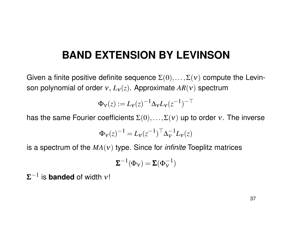### **BAND EXTENSION BY LEVINSON**

Given a finite positive definite sequence  $\Sigma(0),\ldots,\Sigma(\nu)$  compute the Levinson polynomial of order ν, *L*ν(*z*). Approximate *AR*(ν) spectrum

$$
\Phi_V(z) := L_V(z)^{-1} \Delta_V L_V(z^{-1})^{-\top}
$$

has the same Fourier coefficients  $\Sigma(0),\ldots,\Sigma(\nu)$  up to order v. The inverse

$$
\Phi_V(z)^{-1} = L_V(z^{-1})^\top \Delta_V^{-1} L_V(z)
$$

is a spectrum of the *MA*(ν) type. Since for *infinite* Toeplitz matrices

$$
\Sigma^{-1}(\Phi_{\nu})=\Sigma(\Phi_{\nu}^{-1})
$$

 $\mathbf{\Sigma}^{-1}$  is **banded** of width  $ν!$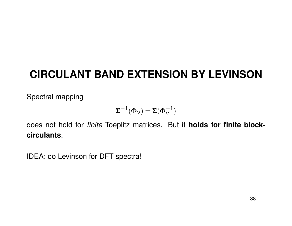### **CIRCULANT BAND EXTENSION BY LEVINSON**

Spectral mapping

$$
\Sigma^{-1}(\Phi_{\boldsymbol{\mathcal{V}}})=\Sigma(\Phi_{\boldsymbol{\mathcal{V}}}^{-1})
$$

does not hold for *finite* Toeplitz matrices. But it **holds for finite blockcirculants**.

IDEA: do Levinson for DFT spectra!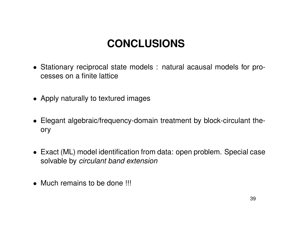### **CONCLUSIONS**

- Stationary reciprocal state models : natural acausal models for processes on a finite lattice
- Apply naturally to textured images
- Elegant algebraic/frequency-domain treatment by block-circulant theory
- Exact (ML) model identification from data: open problem. Special case solvable by *circulant band extension*
- Much remains to be done !!!